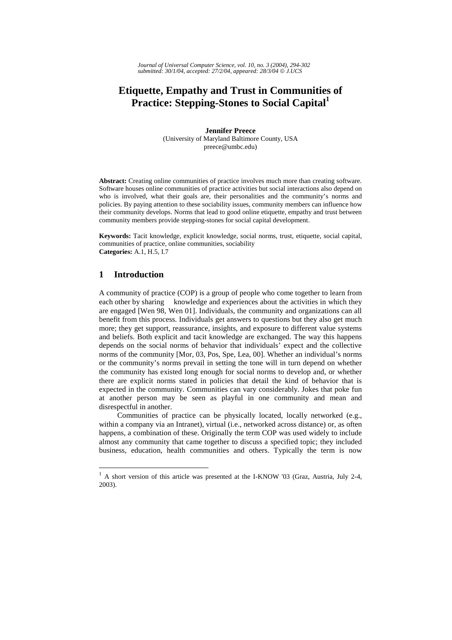*Journal of Universal Computer Science, vol. 10, no. 3 (2004), 294-302 submitted: 30/1/04, accepted: 27/2/04, appeared: 28/3/04* © *J.UCS*

# **Etiquette, Empathy and Trust in Communities of**  Practice: Stepping-Stones to Social Capital<sup>1</sup>

**Jennifer Preece**  (University of Maryland Baltimore County, USA preece@umbc.edu)

**Abstract:** Creating online communities of practice involves much more than creating software. Software houses online communities of practice activities but social interactions also depend on who is involved, what their goals are, their personalities and the community's norms and policies. By paying attention to these sociability issues, community members can influence how their community develops. Norms that lead to good online etiquette, empathy and trust between community members provide stepping-stones for social capital development.

**Keywords:** Tacit knowledge, explicit knowledge, social norms, trust, etiquette, social capital, communities of practice, online communities, sociability **Categories:** A.1, H.5, I.7

#### **1 Introduction**

A community of practice (COP) is a group of people who come together to learn from each other by sharing knowledge and experiences about the activities in which they are engaged [Wen 98, Wen 01]. Individuals, the community and organizations can all benefit from this process. Individuals get answers to questions but they also get much more; they get support, reassurance, insights, and exposure to different value systems and beliefs. Both explicit and tacit knowledge are exchanged. The way this happens depends on the social norms of behavior that individuals' expect and the collective norms of the community [Mor, 03, Pos, Spe, Lea, 00]. Whether an individual's norms or the community's norms prevail in setting the tone will in turn depend on whether the community has existed long enough for social norms to develop and, or whether there are explicit norms stated in policies that detail the kind of behavior that is expected in the community. Communities can vary considerably. Jokes that poke fun at another person may be seen as playful in one community and mean and disrespectful in another.

Communities of practice can be physically located, locally networked (e.g., within a company via an Intranet), virtual (i.e., networked across distance) or, as often happens, a combination of these. Originally the term COP was used widely to include almost any community that came together to discuss a specified topic; they included business, education, health communities and others. Typically the term is now

 $\mathbf{1}$ <sup>1</sup> A short version of this article was presented at the I-KNOW '03 (Graz, Austria, July 2-4, 2003).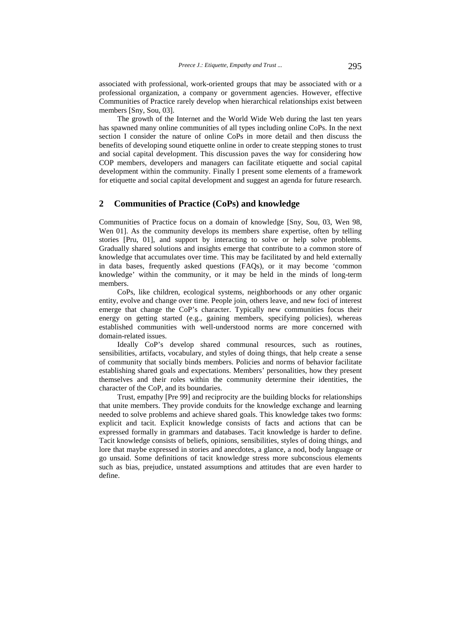associated with professional, work-oriented groups that may be associated with or a professional organization, a company or government agencies. However, effective Communities of Practice rarely develop when hierarchical relationships exist between members [Sny, Sou, 03].

 The growth of the Internet and the World Wide Web during the last ten years has spawned many online communities of all types including online CoPs. In the next section I consider the nature of online CoPs in more detail and then discuss the benefits of developing sound etiquette online in order to create stepping stones to trust and social capital development. This discussion paves the way for considering how COP members, developers and managers can facilitate etiquette and social capital development within the community. Finally I present some elements of a framework for etiquette and social capital development and suggest an agenda for future research.

## **2 Communities of Practice (CoPs) and knowledge**

Communities of Practice focus on a domain of knowledge [Sny, Sou, 03, Wen 98, Wen 01]. As the community develops its members share expertise, often by telling stories [Pru, 01], and support by interacting to solve or help solve problems. Gradually shared solutions and insights emerge that contribute to a common store of knowledge that accumulates over time. This may be facilitated by and held externally in data bases, frequently asked questions (FAQs), or it may become 'common knowledge' within the community, or it may be held in the minds of long-term members.

 CoPs, like children, ecological systems, neighborhoods or any other organic entity, evolve and change over time. People join, others leave, and new foci of interest emerge that change the CoP's character. Typically new communities focus their energy on getting started (e.g., gaining members, specifying policies), whereas established communities with well-understood norms are more concerned with domain-related issues.

 Ideally CoP's develop shared communal resources, such as routines, sensibilities, artifacts, vocabulary, and styles of doing things, that help create a sense of community that socially binds members. Policies and norms of behavior facilitate establishing shared goals and expectations. Members' personalities, how they present themselves and their roles within the community determine their identities, the character of the CoP, and its boundaries.

 Trust, empathy [Pre 99] and reciprocity are the building blocks for relationships that unite members. They provide conduits for the knowledge exchange and learning needed to solve problems and achieve shared goals. This knowledge takes two forms: explicit and tacit. Explicit knowledge consists of facts and actions that can be expressed formally in grammars and databases. Tacit knowledge is harder to define. Tacit knowledge consists of beliefs, opinions, sensibilities, styles of doing things, and lore that maybe expressed in stories and anecdotes, a glance, a nod, body language or go unsaid. Some definitions of tacit knowledge stress more subconscious elements such as bias, prejudice, unstated assumptions and attitudes that are even harder to define.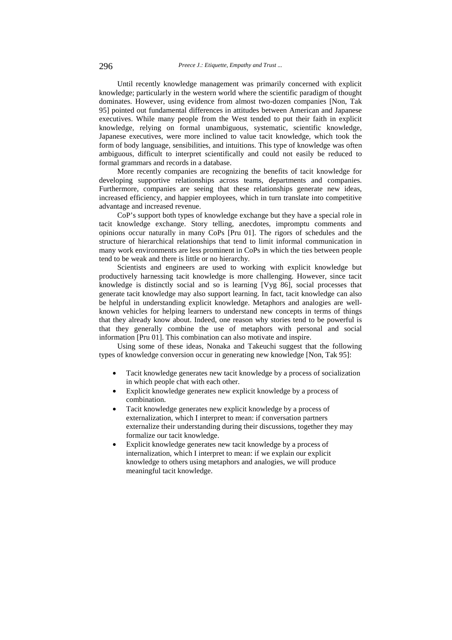Until recently knowledge management was primarily concerned with explicit knowledge; particularly in the western world where the scientific paradigm of thought dominates. However, using evidence from almost two-dozen companies [Non, Tak 95] pointed out fundamental differences in attitudes between American and Japanese executives. While many people from the West tended to put their faith in explicit knowledge, relying on formal unambiguous, systematic, scientific knowledge, Japanese executives, were more inclined to value tacit knowledge, which took the form of body language, sensibilities, and intuitions. This type of knowledge was often ambiguous, difficult to interpret scientifically and could not easily be reduced to formal grammars and records in a database.

 More recently companies are recognizing the benefits of tacit knowledge for developing supportive relationships across teams, departments and companies. Furthermore, companies are seeing that these relationships generate new ideas, increased efficiency, and happier employees, which in turn translate into competitive advantage and increased revenue.

 CoP's support both types of knowledge exchange but they have a special role in tacit knowledge exchange. Story telling, anecdotes, impromptu comments and opinions occur naturally in many CoPs [Pru 01]. The rigors of schedules and the structure of hierarchical relationships that tend to limit informal communication in many work environments are less prominent in CoPs in which the ties between people tend to be weak and there is little or no hierarchy.

 Scientists and engineers are used to working with explicit knowledge but productively harnessing tacit knowledge is more challenging. However, since tacit knowledge is distinctly social and so is learning [Vyg 86], social processes that generate tacit knowledge may also support learning. In fact, tacit knowledge can also be helpful in understanding explicit knowledge. Metaphors and analogies are wellknown vehicles for helping learners to understand new concepts in terms of things that they already know about. Indeed, one reason why stories tend to be powerful is that they generally combine the use of metaphors with personal and social information [Pru 01]. This combination can also motivate and inspire.

 Using some of these ideas, Nonaka and Takeuchi suggest that the following types of knowledge conversion occur in generating new knowledge [Non, Tak 95]:

- Tacit knowledge generates new tacit knowledge by a process of socialization in which people chat with each other.
- Explicit knowledge generates new explicit knowledge by a process of combination.
- Tacit knowledge generates new explicit knowledge by a process of externalization, which I interpret to mean: if conversation partners externalize their understanding during their discussions, together they may formalize our tacit knowledge.
- Explicit knowledge generates new tacit knowledge by a process of internalization, which I interpret to mean: if we explain our explicit knowledge to others using metaphors and analogies, we will produce meaningful tacit knowledge.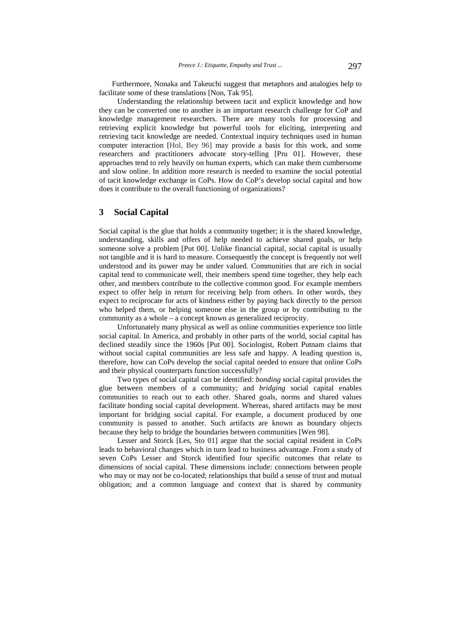Furthermore, Nonaka and Takeuchi suggest that metaphors and analogies help to facilitate some of these translations [Non, Tak 95].

 Understanding the relationship between tacit and explicit knowledge and how they can be converted one to another is an important research challenge for CoP and knowledge management researchers. There are many tools for processing and retrieving explicit knowledge but powerful tools for eliciting, interpreting and retrieving tacit knowledge are needed. Contextual inquiry techniques used in human computer interaction [Hol, Bey 96] may provide a basis for this work, and some researchers and practitioners advocate story-telling [Pru 01]. However, these approaches tend to rely heavily on human experts, which can make them cumbersome and slow online. In addition more research is needed to examine the social potential of tacit knowledge exchange in CoPs. How do CoP's develop social capital and how does it contribute to the overall functioning of organizations?

# **3 Social Capital**

Social capital is the glue that holds a community together; it is the shared knowledge, understanding, skills and offers of help needed to achieve shared goals, or help someone solve a problem [Put 00]. Unlike financial capital, social capital is usually not tangible and it is hard to measure. Consequently the concept is frequently not well understood and its power may be under valued. Communities that are rich in social capital tend to communicate well, their members spend time together, they help each other, and members contribute to the collective common good. For example members expect to offer help in return for receiving help from others. In other words, they expect to reciprocate for acts of kindness either by paying back directly to the person who helped them, or helping someone else in the group or by contributing to the community as a whole – a concept known as generalized reciprocity.

 Unfortunately many physical as well as online communities experience too little social capital. In America, and probably in other parts of the world, social capital has declined steadily since the 1960s [Put 00]. Sociologist, Robert Putnam claims that without social capital communities are less safe and happy. A leading question is, therefore, how can CoPs develop the social capital needed to ensure that online CoPs and their physical counterparts function successfully?

 Two types of social capital can be identified: *bonding* social capital provides the glue between members of a community; and *bridging* social capital enables communities to reach out to each other. Shared goals, norms and shared values facilitate bonding social capital development. Whereas, shared artifacts may be most important for bridging social capital. For example, a document produced by one community is passed to another. Such artifacts are known as boundary objects because they help to bridge the boundaries between communities [Wen 98].

 Lesser and Storck [Les, Sto 01] argue that the social capital resident in CoPs leads to behavioral changes which in turn lead to business advantage. From a study of seven CoPs Lesser and Storck identified four specific outcomes that relate to dimensions of social capital. These dimensions include: connections between people who may or may not be co-located; relationships that build a sense of trust and mutual obligation; and a common language and context that is shared by community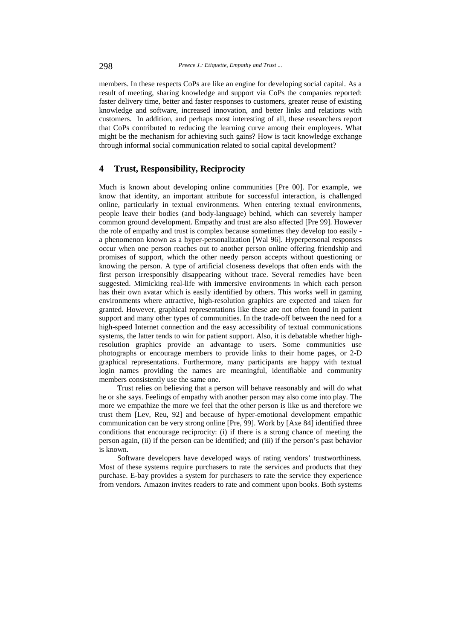members. In these respects CoPs are like an engine for developing social capital. As a result of meeting, sharing knowledge and support via CoPs the companies reported: faster delivery time, better and faster responses to customers, greater reuse of existing knowledge and software, increased innovation, and better links and relations with customers. In addition, and perhaps most interesting of all, these researchers report that CoPs contributed to reducing the learning curve among their employees. What might be the mechanism for achieving such gains? How is tacit knowledge exchange through informal social communication related to social capital development?

## **4 Trust, Responsibility, Reciprocity**

Much is known about developing online communities [Pre 00]. For example, we know that identity, an important attribute for successful interaction, is challenged online, particularly in textual environments. When entering textual environments, people leave their bodies (and body-language) behind, which can severely hamper common ground development. Empathy and trust are also affected [Pre 99]. However the role of empathy and trust is complex because sometimes they develop too easily a phenomenon known as a hyper-personalization [Wal 96]. Hyperpersonal responses occur when one person reaches out to another person online offering friendship and promises of support, which the other needy person accepts without questioning or knowing the person. A type of artificial closeness develops that often ends with the first person irresponsibly disappearing without trace. Several remedies have been suggested. Mimicking real-life with immersive environments in which each person has their own avatar which is easily identified by others. This works well in gaming environments where attractive, high-resolution graphics are expected and taken for granted. However, graphical representations like these are not often found in patient support and many other types of communities. In the trade-off between the need for a high-speed Internet connection and the easy accessibility of textual communications systems, the latter tends to win for patient support. Also, it is debatable whether highresolution graphics provide an advantage to users. Some communities use photographs or encourage members to provide links to their home pages, or 2-D graphical representations. Furthermore, many participants are happy with textual login names providing the names are meaningful, identifiable and community members consistently use the same one.

 Trust relies on believing that a person will behave reasonably and will do what he or she says. Feelings of empathy with another person may also come into play. The more we empathize the more we feel that the other person is like us and therefore we trust them [Lev, Reu, 92] and because of hyper-emotional development empathic communication can be very strong online [Pre, 99]. Work by [Axe 84] identified three conditions that encourage reciprocity: (i) if there is a strong chance of meeting the person again, (ii) if the person can be identified; and (iii) if the person's past behavior is known.

 Software developers have developed ways of rating vendors' trustworthiness. Most of these systems require purchasers to rate the services and products that they purchase. E-bay provides a system for purchasers to rate the service they experience from vendors. Amazon invites readers to rate and comment upon books. Both systems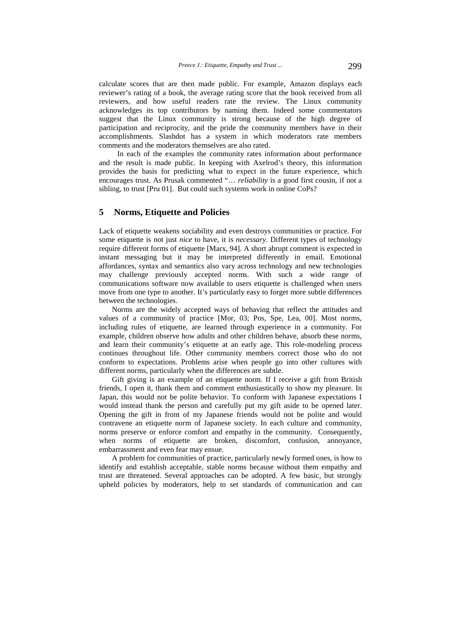calculate scores that are then made public. For example, Amazon displays each reviewer's rating of a book, the average rating score that the book received from all reviewers, and how useful readers rate the review. The Linux community acknowledges its top contributors by naming them. Indeed some commentators suggest that the Linux community is strong because of the high degree of participation and reciprocity, and the pride the community members have in their accomplishments. Slashdot has a system in which moderators rate members comments and the moderators themselves are also rated.

 In each of the examples the community rates information about performance and the result is made public. In keeping with Axelrod's theory, this information provides the basis for predicting what to expect in the future experience, which encourages trust. As Prusak commented "… *reliability* is a good first cousin, if not a sibling, to trust [Pru 01]. But could such systems work in online CoPs?

## **5 Norms, Etiquette and Policies**

Lack of etiquette weakens sociability and even destroys communities or practice. For some etiquette is not just *nice* to have, it is *necessary*. Different types of technology require different forms of etiquette [Marx, 94]. A short abrupt comment is expected in instant messaging but it may be interpreted differently in email. Emotional affordances, syntax and semantics also vary across technology and new technologies may challenge previously accepted norms. With such a wide range of communications software now available to users etiquette is challenged when users move from one type to another. It's particularly easy to forget more subtle differences between the technologies.

Norms are the widely accepted ways of behaving that reflect the attitudes and values of a community of practice [Mor, 03; Pos, Spe, Lea, 00]. Most norms, including rules of etiquette, are learned through experience in a community. For example, children observe how adults and other children behave, absorb these norms, and learn their community's etiquette at an early age. This role-modeling process continues throughout life. Other community members correct those who do not conform to expectations. Problems arise when people go into other cultures with different norms, particularly when the differences are subtle.

Gift giving is an example of an etiquette norm. If I receive a gift from British friends, I open it, thank them and comment enthusiastically to show my pleasure. In Japan, this would not be polite behavior. To conform with Japanese expectations I would instead thank the person and carefully put my gift aside to be opened later. Opening the gift in front of my Japanese friends would not be polite and would contravene an etiquette norm of Japanese society. In each culture and community, norms preserve or enforce comfort and empathy in the community. Consequently, when norms of etiquette are broken, discomfort, confusion, annoyance, embarrassment and even fear may ensue.

A problem for communities of practice, particularly newly formed ones, is how to identify and establish acceptable, stable norms because without them empathy and trust are threatened. Several approaches can be adopted. A few basic, but strongly upheld policies by moderators, help to set standards of communication and can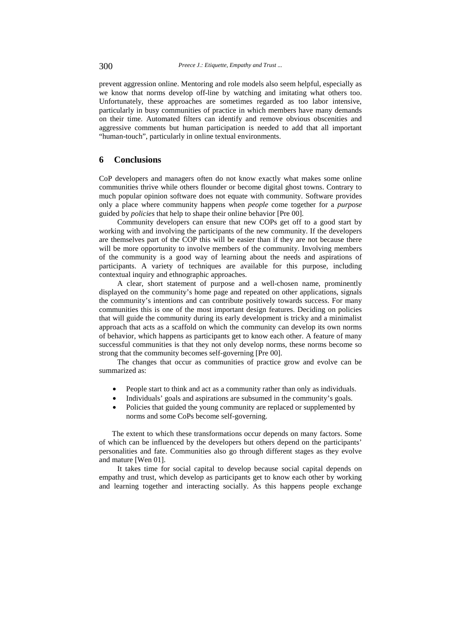prevent aggression online. Mentoring and role models also seem helpful, especially as we know that norms develop off-line by watching and imitating what others too. Unfortunately, these approaches are sometimes regarded as too labor intensive, particularly in busy communities of practice in which members have many demands on their time. Automated filters can identify and remove obvious obscenities and aggressive comments but human participation is needed to add that all important "human-touch", particularly in online textual environments.

#### **6 Conclusions**

CoP developers and managers often do not know exactly what makes some online communities thrive while others flounder or become digital ghost towns. Contrary to much popular opinion software does not equate with community. Software provides only a place where community happens when *people* come together for a *purpose* guided by *policies* that help to shape their online behavior [Pre 00].

 Community developers can ensure that new COPs get off to a good start by working with and involving the participants of the new community. If the developers are themselves part of the COP this will be easier than if they are not because there will be more opportunity to involve members of the community. Involving members of the community is a good way of learning about the needs and aspirations of participants. A variety of techniques are available for this purpose, including contextual inquiry and ethnographic approaches.

 A clear, short statement of purpose and a well-chosen name, prominently displayed on the community's home page and repeated on other applications, signals the community's intentions and can contribute positively towards success. For many communities this is one of the most important design features. Deciding on policies that will guide the community during its early development is tricky and a minimalist approach that acts as a scaffold on which the community can develop its own norms of behavior, which happens as participants get to know each other. A feature of many successful communities is that they not only develop norms, these norms become so strong that the community becomes self-governing [Pre 00].

 The changes that occur as communities of practice grow and evolve can be summarized as:

- People start to think and act as a community rather than only as individuals.
- Individuals' goals and aspirations are subsumed in the community's goals.
- Policies that guided the young community are replaced or supplemented by norms and some CoPs become self-governing.

The extent to which these transformations occur depends on many factors. Some of which can be influenced by the developers but others depend on the participants' personalities and fate. Communities also go through different stages as they evolve and mature [Wen 01].

 It takes time for social capital to develop because social capital depends on empathy and trust, which develop as participants get to know each other by working and learning together and interacting socially. As this happens people exchange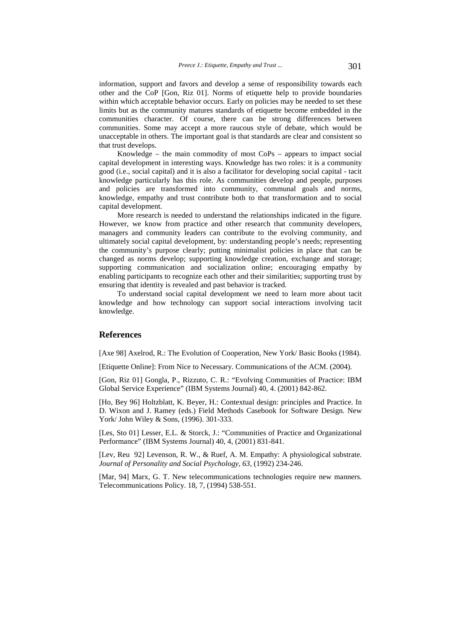information, support and favors and develop a sense of responsibility towards each other and the CoP [Gon, Riz 01]. Norms of etiquette help to provide boundaries within which acceptable behavior occurs. Early on policies may be needed to set these limits but as the community matures standards of etiquette become embedded in the communities character. Of course, there can be strong differences between communities. Some may accept a more raucous style of debate, which would be unacceptable in others. The important goal is that standards are clear and consistent so that trust develops.

Knowledge – the main commodity of most  $CoPs$  – appears to impact social capital development in interesting ways. Knowledge has two roles: it is a community good (i.e., social capital) and it is also a facilitator for developing social capital - tacit knowledge particularly has this role. As communities develop and people, purposes and policies are transformed into community, communal goals and norms, knowledge, empathy and trust contribute both to that transformation and to social capital development.

 More research is needed to understand the relationships indicated in the figure. However, we know from practice and other research that community developers, managers and community leaders can contribute to the evolving community, and ultimately social capital development, by: understanding people's needs; representing the community's purpose clearly; putting minimalist policies in place that can be changed as norms develop; supporting knowledge creation, exchange and storage; supporting communication and socialization online; encouraging empathy by enabling participants to recognize each other and their similarities; supporting trust by ensuring that identity is revealed and past behavior is tracked.

 To understand social capital development we need to learn more about tacit knowledge and how technology can support social interactions involving tacit knowledge.

#### **References**

[Axe 98] Axelrod, R.: The Evolution of Cooperation, New York/ Basic Books (1984).

[Etiquette Online]: From Nice to Necessary. Communications of the ACM. (2004).

[Gon, Riz 01] Gongla, P., Rizzuto, C. R.: "Evolving Communities of Practice: IBM Global Service Experience" (IBM Systems Journal) 40, 4. (2001) 842-862.

[Ho, Bey 96] Holtzblatt, K. Beyer, H.: Contextual design: principles and Practice. In D. Wixon and J. Ramey (eds.) Field Methods Casebook for Software Design. New York/ John Wiley & Sons, (1996). 301-333.

[Les, Sto 01] Lesser, E.L. & Storck, J.: "Communities of Practice and Organizational Performance" (IBM Systems Journal) 40, 4, (2001) 831-841.

[Lev, Reu 92] Levenson, R. W., & Ruef, A. M. Empathy: A physiological substrate. *Journal of Personality and Social Psychology, 63*, (1992) 234-246.

[Mar, 94] Marx, G. T. New telecommunications technologies require new manners. Telecommunications Policy. 18, 7, (1994) 538-551.